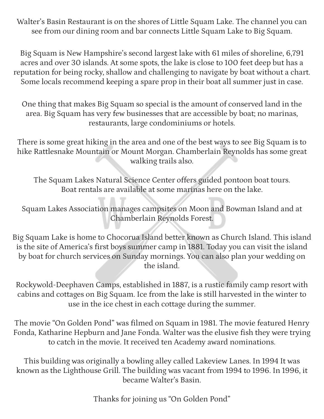Walter's Basin Restaurant is on the shores of Little Squam Lake. The channel you can see from our dining room and bar connects Little Squam Lake to Big Squam.

Big Squam is New Hampshire's second largest lake with 61 miles of shoreline, 6,791 acres and over 30 islands. At some spots, the lake is close to 100 feet deep but has a reputation for being rocky, shallow and challenging to navigate by boat without a chart. Some locals recommend keeping a spare prop in their boat all summer just in case.

One thing that makes Big Squam so special is the amount of conserved land in the area. Big Squam has very few businesses that are accessible by boat; no marinas, restaurants, large condominiums or hotels.

There is some great hiking in the area and one of the best ways to see Big Squam is to hike Rattlesnake Mountain or Mount Morgan. Chamberlain Reynolds has some great walking trails also.

The Squam Lakes Natural Science Center offers guided pontoon boat tours. Boat rentals are available at some marinas here on the lake.

Squam Lakes Association manages campsites on Moon and Bowman Island and at Chamberlain Reynolds Forest.

Big Squam Lake is home to Chocorua Island better known as Church Island. This island is the site of America's first boys summer camp in 1881. Today you can visit the island by boat for church services on Sunday mornings. You can also plan your wedding on the island.

Rockywold-Deephaven Camps, established in 1887, is a rustic family camp resort with cabins and cottages on Big Squam. Ice from the lake is still harvested in the winter to use in the ice chest in each cottage during the summer.

The movie "On Golden Pond" was filmed on Squam in 1981. The movie featured Henry Fonda, Katharine Hepburn and Jane Fonda. Walter was the elusive fish they were trying to catch in the movie. It received ten Academy award nominations.

This building was originally a bowling alley called Lakeview Lanes. In 1994 It was known as the Lighthouse Grill. The building was vacant from 1994 to 1996. In 1996, it became Walter's Basin.

Thanks for joining us "On Golden Pond"